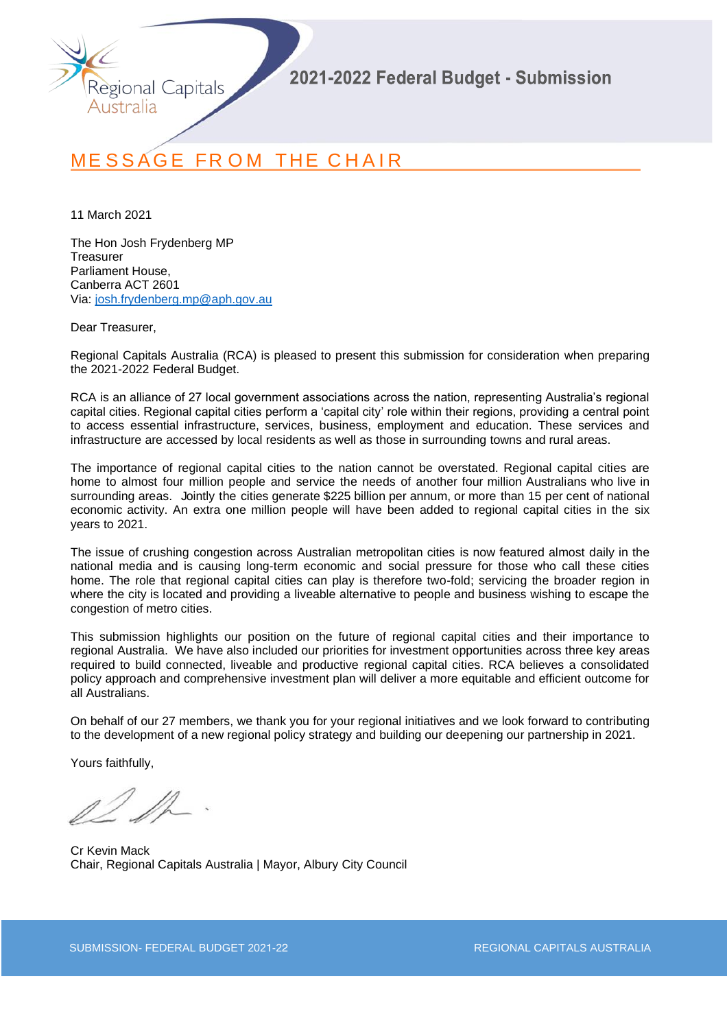

# MESSAGE FROM THE CHAIR

11 March 2021

The Hon Josh Frydenberg MP **Treasurer** Parliament House, Canberra ACT 2601 Via: [josh.frydenberg.mp@aph.gov.au](mailto:josh.frydenberg.mp@aph.gov.au)

Dear Treasurer,

Regional Capitals Australia (RCA) is pleased to present this submission for consideration when preparing the 2021-2022 Federal Budget.

RCA is an alliance of 27 local government associations across the nation, representing Australia's regional capital cities. Regional capital cities perform a 'capital city' role within their regions, providing a central point to access essential infrastructure, services, business, employment and education. These services and infrastructure are accessed by local residents as well as those in surrounding towns and rural areas.

The importance of regional capital cities to the nation cannot be overstated. Regional capital cities are home to almost four million people and service the needs of another four million Australians who live in surrounding areas. Jointly the cities generate \$225 billion per annum, or more than 15 per cent of national economic activity. An extra one million people will have been added to regional capital cities in the six years to 2021.

The issue of crushing congestion across Australian metropolitan cities is now featured almost daily in the national media and is causing long-term economic and social pressure for those who call these cities home. The role that regional capital cities can play is therefore two-fold; servicing the broader region in where the city is located and providing a liveable alternative to people and business wishing to escape the congestion of metro cities.

This submission highlights our position on the future of regional capital cities and their importance to regional Australia. We have also included our priorities for investment opportunities across three key areas required to build connected, liveable and productive regional capital cities. RCA believes a consolidated policy approach and comprehensive investment plan will deliver a more equitable and efficient outcome for all Australians.

On behalf of our 27 members, we thank you for your regional initiatives and we look forward to contributing to the development of a new regional policy strategy and building our deepening our partnership in 2021.

Yours faithfully,

Cr Kevin Mack Chair, Regional Capitals Australia | Mayor, Albury City Council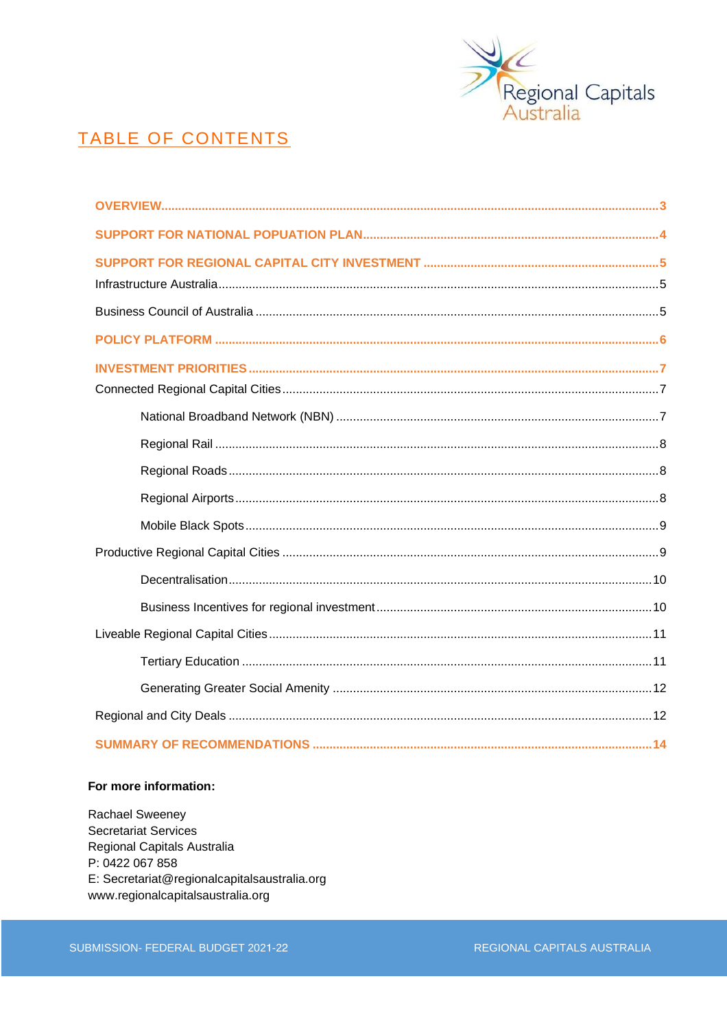

# TABLE OF CONTENTS

### For more information:

Rachael Sweeney **Secretariat Services** Regional Capitals Australia P: 0422 067 858 E: Secretariat@regionalcapitalsaustralia.org www.regionalcapitalsaustralia.org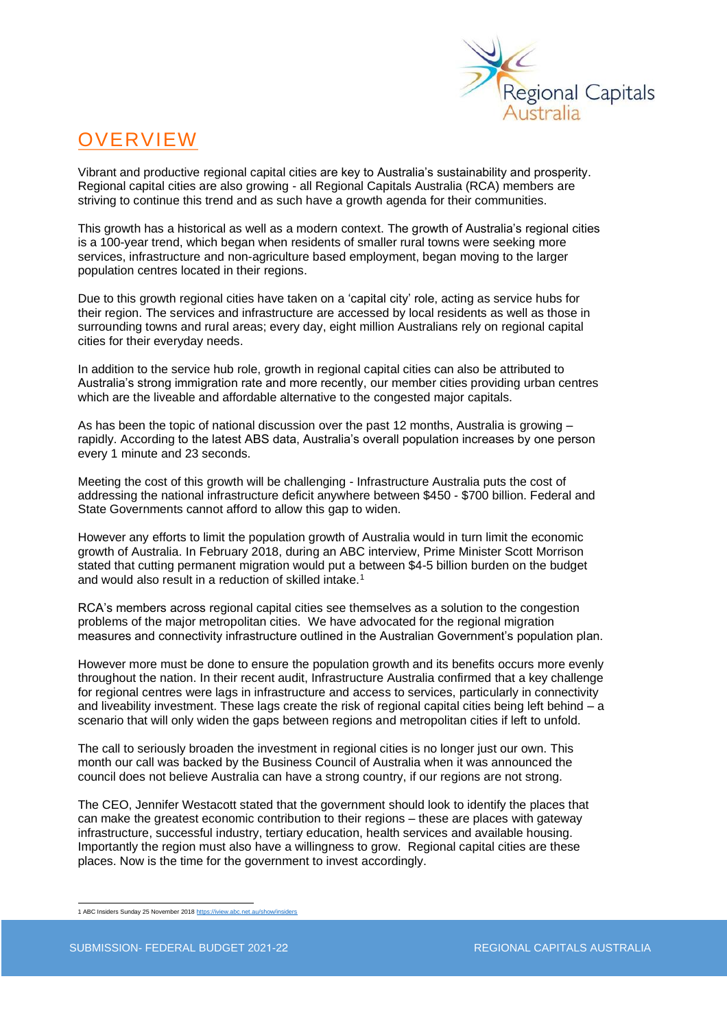

# OVERVIEW

Vibrant and productive regional capital cities are key to Australia's sustainability and prosperity. Regional capital cities are also growing - all Regional Capitals Australia (RCA) members are striving to continue this trend and as such have a growth agenda for their communities.

This growth has a historical as well as a modern context. The growth of Australia's regional cities is a 100-year trend, which began when residents of smaller rural towns were seeking more services, infrastructure and non-agriculture based employment, began moving to the larger population centres located in their regions.

Due to this growth regional cities have taken on a 'capital city' role, acting as service hubs for their region. The services and infrastructure are accessed by local residents as well as those in surrounding towns and rural areas; every day, eight million Australians rely on regional capital cities for their everyday needs.

In addition to the service hub role, growth in regional capital cities can also be attributed to Australia's strong immigration rate and more recently, our member cities providing urban centres which are the liveable and affordable alternative to the congested major capitals.

As has been the topic of national discussion over the past 12 months. Australia is growing – rapidly. According to the latest ABS data, Australia's overall population increases by one person every 1 minute and 23 seconds.

Meeting the cost of this growth will be challenging - Infrastructure Australia puts the cost of addressing the national infrastructure deficit anywhere between \$450 - \$700 billion. Federal and State Governments cannot afford to allow this gap to widen.

However any efforts to limit the population growth of Australia would in turn limit the economic growth of Australia. In February 2018, during an ABC interview, Prime Minister Scott Morrison stated that cutting permanent migration would put a between \$4-5 billion burden on the budget and would also result in a reduction of skilled intake.<sup>1</sup>

RCA's members across regional capital cities see themselves as a solution to the congestion problems of the major metropolitan cities. We have advocated for the regional migration measures and connectivity infrastructure outlined in the Australian Government's population plan.

However more must be done to ensure the population growth and its benefits occurs more evenly throughout the nation. In their recent audit, Infrastructure Australia confirmed that a key challenge for regional centres were lags in infrastructure and access to services, particularly in connectivity and liveability investment. These lags create the risk of regional capital cities being left behind – a scenario that will only widen the gaps between regions and metropolitan cities if left to unfold.

The call to seriously broaden the investment in regional cities is no longer just our own. This month our call was backed by the Business Council of Australia when it was announced the council does not believe Australia can have a strong country, if our regions are not strong.

The CEO, Jennifer Westacott stated that the government should look to identify the places that can make the greatest economic contribution to their regions – these are places with gateway infrastructure, successful industry, tertiary education, health services and available housing. Importantly the region must also have a willingness to grow. Regional capital cities are these places. Now is the time for the government to invest accordingly.

<sup>1</sup> ABC Insiders Sunday 25 November 201[8 https://iview.abc.net.au/show/insiders](https://iview.abc.net.au/show/insiders)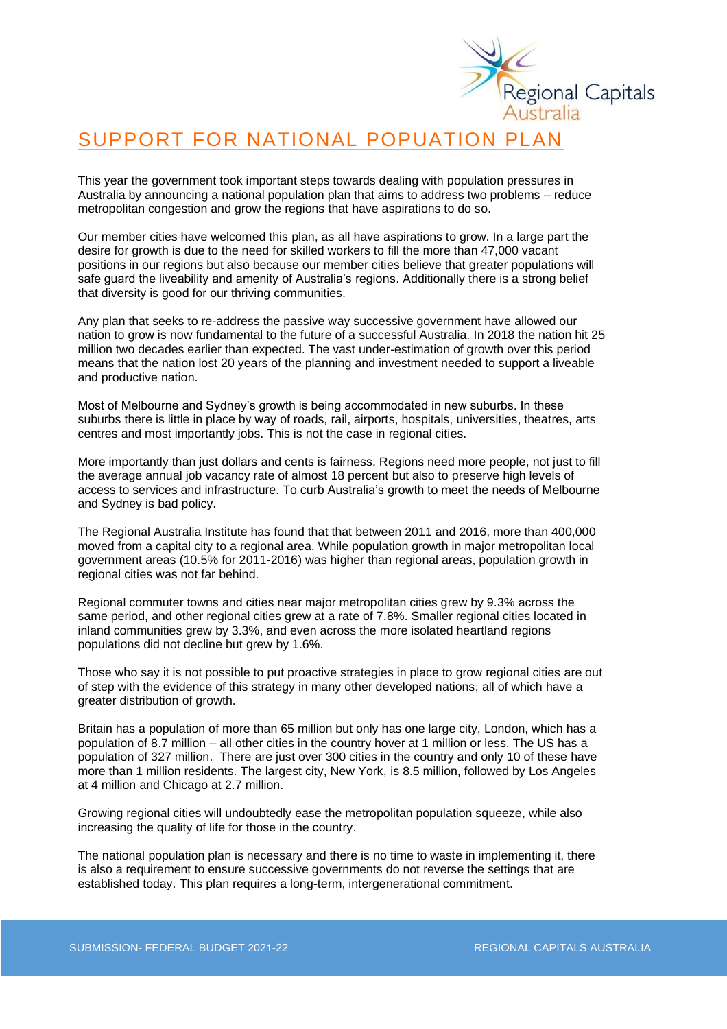

# SUPPORT FOR NATIONAL POPUATION PLAN

This year the government took important steps towards dealing with population pressures in Australia by announcing a national population plan that aims to address two problems – reduce metropolitan congestion and grow the regions that have aspirations to do so.

Our member cities have welcomed this plan, as all have aspirations to grow. In a large part the desire for growth is due to the need for skilled workers to fill the more than 47,000 vacant positions in our regions but also because our member cities believe that greater populations will safe guard the liveability and amenity of Australia's regions. Additionally there is a strong belief that diversity is good for our thriving communities.

Any plan that seeks to re-address the passive way successive government have allowed our nation to grow is now fundamental to the future of a successful Australia. In 2018 the nation hit 25 million two decades earlier than expected. The vast under-estimation of growth over this period means that the nation lost 20 years of the planning and investment needed to support a liveable and productive nation.

Most of Melbourne and Sydney's growth is being accommodated in new suburbs. In these suburbs there is little in place by way of roads, rail, airports, hospitals, universities, theatres, arts centres and most importantly jobs. This is not the case in regional cities.

More importantly than just dollars and cents is fairness. Regions need more people, not just to fill the average annual job vacancy rate of almost 18 percent but also to preserve high levels of access to services and infrastructure. To curb Australia's growth to meet the needs of Melbourne and Sydney is bad policy.

The Regional Australia Institute has found that that between 2011 and 2016, more than 400,000 moved from a capital city to a regional area. While population growth in major metropolitan local government areas (10.5% for 2011-2016) was higher than regional areas, population growth in regional cities was not far behind.

Regional commuter towns and cities near major metropolitan cities grew by 9.3% across the same period, and other regional cities grew at a rate of 7.8%. Smaller regional cities located in inland communities grew by 3.3%, and even across the more isolated heartland regions populations did not decline but grew by 1.6%.

Those who say it is not possible to put proactive strategies in place to grow regional cities are out of step with the evidence of this strategy in many other developed nations, all of which have a greater distribution of growth.

Britain has a population of more than 65 million but only has one large city, London, which has a population of 8.7 million – all other cities in the country hover at 1 million or less. The US has a population of 327 million. There are just over 300 cities in the country and only 10 of these have more than 1 million residents. The largest city, New York, is 8.5 million, followed by Los Angeles at 4 million and Chicago at 2.7 million.

Growing regional cities will undoubtedly ease the metropolitan population squeeze, while also increasing the quality of life for those in the country.

The national population plan is necessary and there is no time to waste in implementing it, there is also a requirement to ensure successive governments do not reverse the settings that are established today. This plan requires a long-term, intergenerational commitment.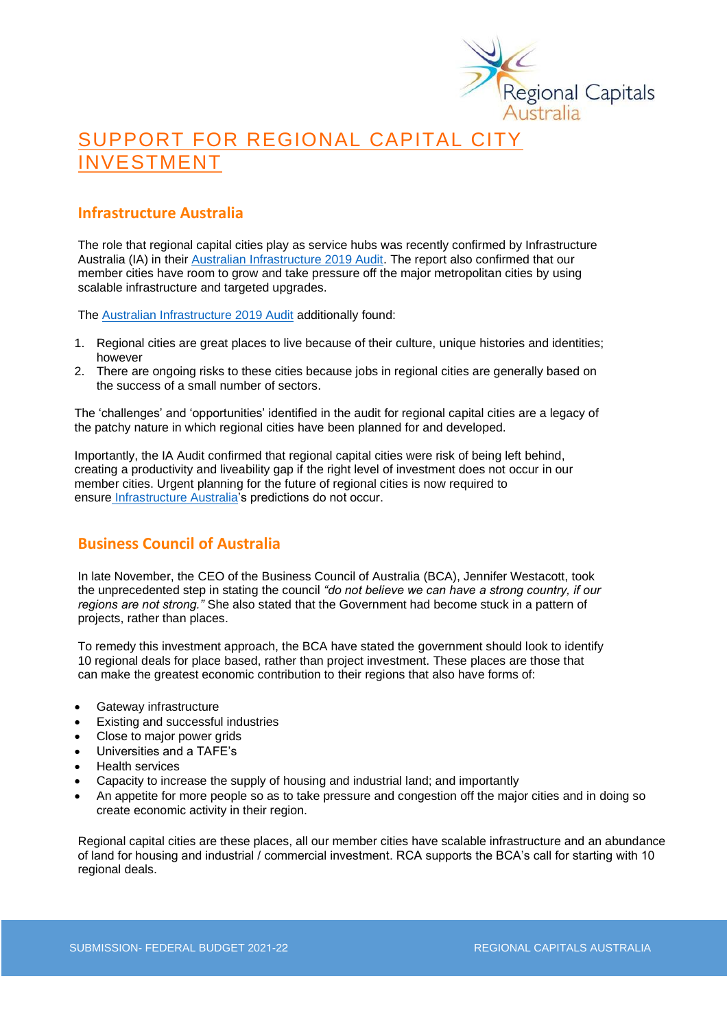

# SUPPORT FOR REGIONAL CAPITAL CITY INVESTMENT

## **Infrastructure Australia**

The role that regional capital cities play as service hubs was recently confirmed by Infrastructure Australia (IA) in their **Australian Infrastructure 2019 Audit**. The report also confirmed that our member cities have room to grow and take pressure off the major metropolitan cities by using scalable infrastructure and targeted upgrades.

The [Australian Infrastructure 2019 Audit](https://www.infrastructureaustralia.gov.au/sites/default/files/2019-08/Australian%20Infrastructure%20Audit%202019.pdf) additionally found:

- 1. Regional cities are great places to live because of their culture, unique histories and identities; however
- 2. There are ongoing risks to these cities because jobs in regional cities are generally based on the success of a small number of sectors.

The 'challenges' and 'opportunities' identified in the audit for regional capital cities are a legacy of the patchy nature in which regional cities have been planned for and developed.

Importantly, the IA Audit confirmed that regional capital cities were risk of being left behind, creating a productivity and liveability gap if the right level of investment does not occur in our member cities. Urgent planning for the future of regional cities is now required to ensure [Infrastructure Australia'](http://infrastructureaustralia.gov.au/)s predictions do not occur.

## **Business Council of Australia**

In late November, the CEO of the Business Council of Australia (BCA), Jennifer Westacott, took the unprecedented step in stating the council *"do not believe we can have a strong country, if our regions are not strong."* She also stated that the Government had become stuck in a pattern of projects, rather than places.

To remedy this investment approach, the BCA have stated the government should look to identify 10 regional deals for place based, rather than project investment. These places are those that can make the greatest economic contribution to their regions that also have forms of:

- Gateway infrastructure
- Existing and successful industries
- Close to major power grids
- Universities and a TAFE's
- Health services
- Capacity to increase the supply of housing and industrial land; and importantly
- An appetite for more people so as to take pressure and congestion off the major cities and in doing so create economic activity in their region.

Regional capital cities are these places, all our member cities have scalable infrastructure and an abundance of land for housing and industrial / commercial investment. RCA supports the BCA's call for starting with 10 regional deals.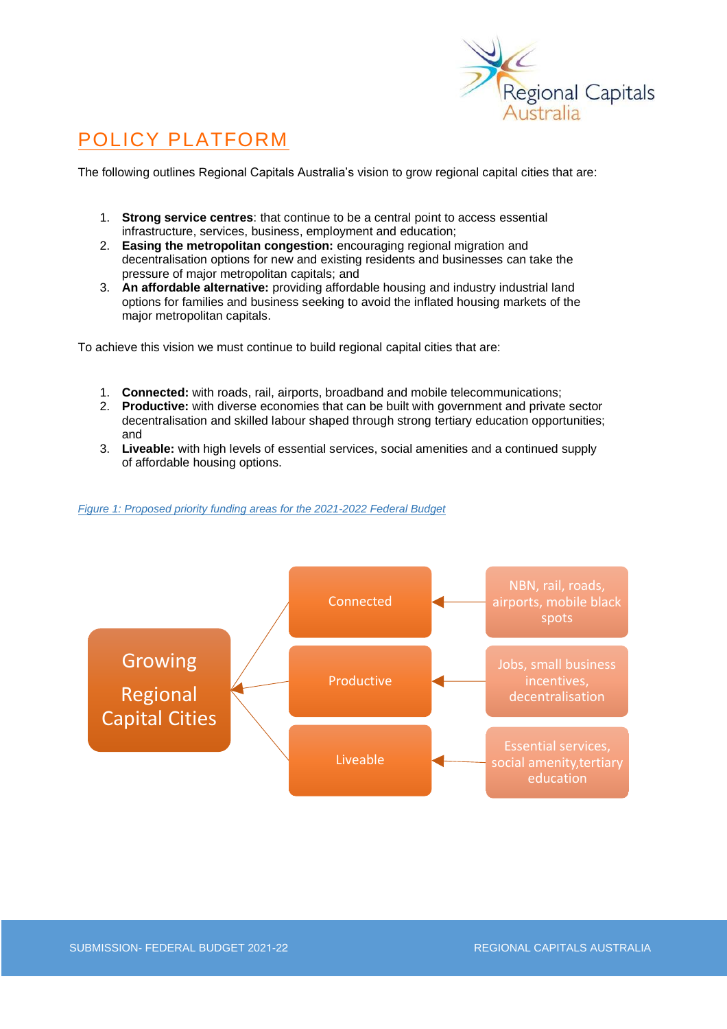

# POLICY PLATFORM

The following outlines Regional Capitals Australia's vision to grow regional capital cities that are:

- 1. **Strong service centres**: that continue to be a central point to access essential infrastructure, services, business, employment and education;
- 2. **Easing the metropolitan congestion:** encouraging regional migration and decentralisation options for new and existing residents and businesses can take the pressure of major metropolitan capitals; and
- 3. **An affordable alternative:** providing affordable housing and industry industrial land options for families and business seeking to avoid the inflated housing markets of the major metropolitan capitals.

To achieve this vision we must continue to build regional capital cities that are:

- 1. **Connected:** with roads, rail, airports, broadband and mobile telecommunications;
- 2. **Productive:** with diverse economies that can be built with government and private sector decentralisation and skilled labour shaped through strong tertiary education opportunities; and
- 3. **Liveable:** with high levels of essential services, social amenities and a continued supply of affordable housing options.

### *Figure 1: Proposed priority funding areas for the 2021-2022 Federal Budget*

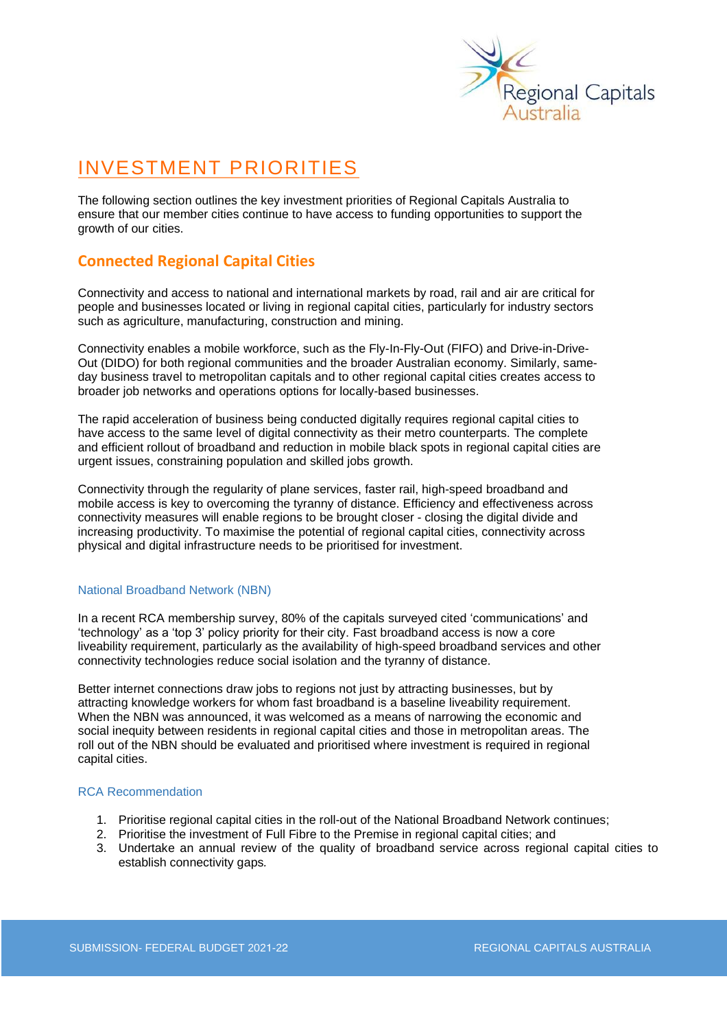

# INVESTMENT PRIORITIES

The following section outlines the key investment priorities of Regional Capitals Australia to ensure that our member cities continue to have access to funding opportunities to support the growth of our cities.

## **Connected Regional Capital Cities**

Connectivity and access to national and international markets by road, rail and air are critical for people and businesses located or living in regional capital cities, particularly for industry sectors such as agriculture, manufacturing, construction and mining.

Connectivity enables a mobile workforce, such as the Fly-In-Fly-Out (FIFO) and Drive-in-Drive-Out (DIDO) for both regional communities and the broader Australian economy. Similarly, sameday business travel to metropolitan capitals and to other regional capital cities creates access to broader job networks and operations options for locally-based businesses.

The rapid acceleration of business being conducted digitally requires regional capital cities to have access to the same level of digital connectivity as their metro counterparts. The complete and efficient rollout of broadband and reduction in mobile black spots in regional capital cities are urgent issues, constraining population and skilled jobs growth.

Connectivity through the regularity of plane services, faster rail, high-speed broadband and mobile access is key to overcoming the tyranny of distance. Efficiency and effectiveness across connectivity measures will enable regions to be brought closer - closing the digital divide and increasing productivity. To maximise the potential of regional capital cities, connectivity across physical and digital infrastructure needs to be prioritised for investment.

### National Broadband Network (NBN)

In a recent RCA membership survey, 80% of the capitals surveyed cited 'communications' and 'technology' as a 'top 3' policy priority for their city. Fast broadband access is now a core liveability requirement, particularly as the availability of high-speed broadband services and other connectivity technologies reduce social isolation and the tyranny of distance.

Better internet connections draw jobs to regions not just by attracting businesses, but by attracting knowledge workers for whom fast broadband is a baseline liveability requirement. When the NBN was announced, it was welcomed as a means of narrowing the economic and social inequity between residents in regional capital cities and those in metropolitan areas. The roll out of the NBN should be evaluated and prioritised where investment is required in regional capital cities.

### RCA Recommendation

- 1. Prioritise regional capital cities in the roll-out of the National Broadband Network continues;
- 2. Prioritise the investment of Full Fibre to the Premise in regional capital cities; and
- 3. Undertake an annual review of the quality of broadband service across regional capital cities to establish connectivity gaps*.*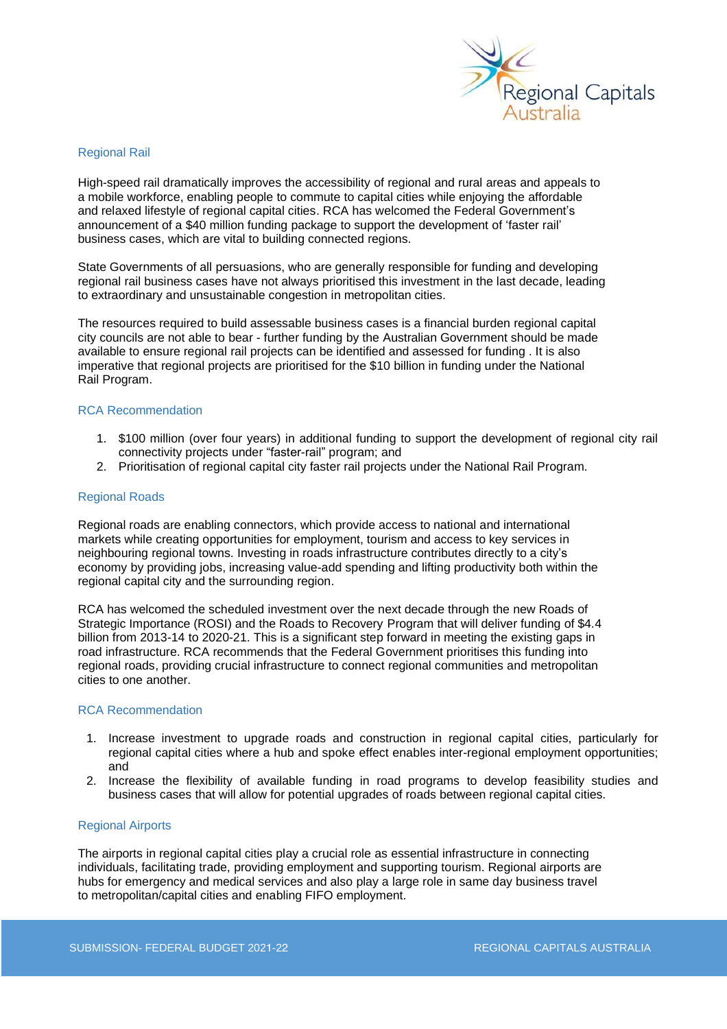

#### Regional Rail

High-speed rail dramatically improves the accessibility of regional and rural areas and appeals to a mobile workforce, enabling people to commute to capital cities while enjoying the affordable and relaxed lifestyle of regional capital cities. RCA has welcomed the Federal Government's announcement of a \$40 million funding package to support the development of 'faster rail' business cases, which are vital to building connected regions.

State Governments of all persuasions, who are generally responsible for funding and developing regional rail business cases have not always prioritised this investment in the last decade, leading to extraordinary and unsustainable congestion in metropolitan cities.

The resources required to build assessable business cases is a financial burden regional capital city councils are not able to bear - further funding by the Australian Government should be made available to ensure regional rail projects can be identified and assessed for funding . It is also imperative that regional projects are prioritised for the \$10 billion in funding under the National Rail Program.

#### RCA Recommendation

- 1. \$100 million (over four years) in additional funding to support the development of regional city rail connectivity projects under "faster-rail" program; and
- 2. Prioritisation of regional capital city faster rail projects under the National Rail Program.

#### Regional Roads

Regional roads are enabling connectors, which provide access to national and international markets while creating opportunities for employment, tourism and access to key services in neighbouring regional towns. Investing in roads infrastructure contributes directly to a city's economy by providing jobs, increasing value-add spending and lifting productivity both within the regional capital city and the surrounding region.

RCA has welcomed the scheduled investment over the next decade through the new Roads of Strategic Importance (ROSI) and the Roads to Recovery Program that will deliver funding of \$4.4 billion from 2013-14 to 2020-21. This is a significant step forward in meeting the existing gaps in road infrastructure. RCA recommends that the Federal Government prioritises this funding into regional roads, providing crucial infrastructure to connect regional communities and metropolitan cities to one another.

#### RCA Recommendation

- 1. Increase investment to upgrade roads and construction in regional capital cities, particularly for regional capital cities where a hub and spoke effect enables inter-regional employment opportunities; and
- 2. Increase the flexibility of available funding in road programs to develop feasibility studies and business cases that will allow for potential upgrades of roads between regional capital cities.

#### Regional Airports

The airports in regional capital cities play a crucial role as essential infrastructure in connecting individuals, facilitating trade, providing employment and supporting tourism. Regional airports are hubs for emergency and medical services and also play a large role in same day business travel to metropolitan/capital cities and enabling FIFO employment.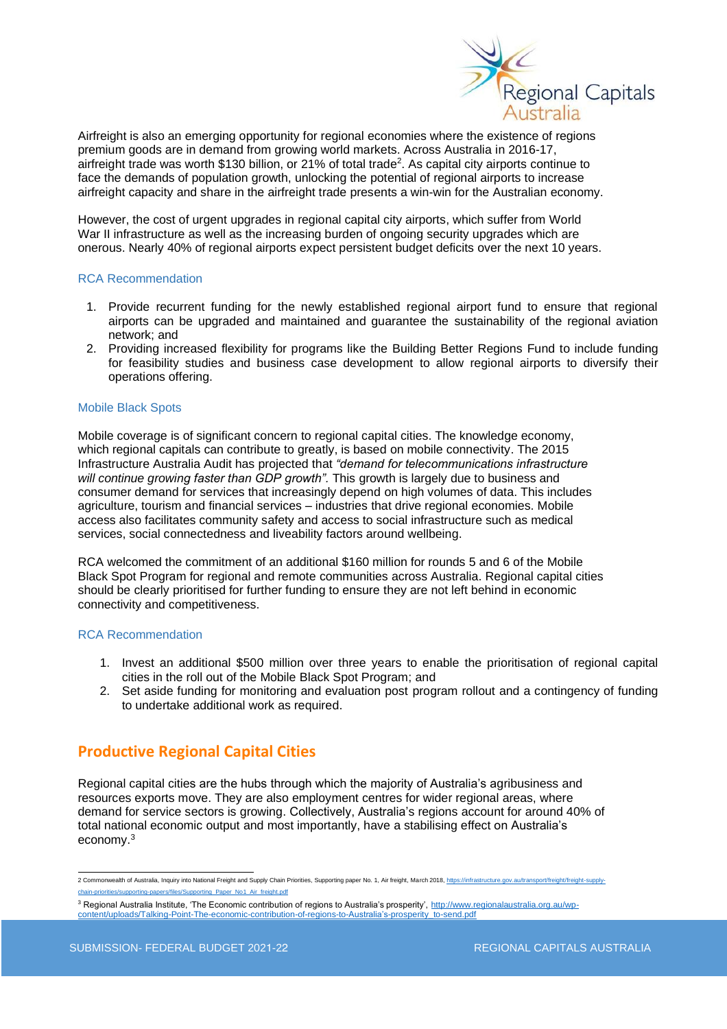

Airfreight is also an emerging opportunity for regional economies where the existence of regions premium goods are in demand from growing world markets. Across Australia in 2016-17, airfreight trade was worth \$130 billion, or 21% of total trade<sup>2</sup> . As capital city airports continue to face the demands of population growth, unlocking the potential of regional airports to increase airfreight capacity and share in the airfreight trade presents a win-win for the Australian economy.

However, the cost of urgent upgrades in regional capital city airports, which suffer from World War II infrastructure as well as the increasing burden of ongoing security upgrades which are onerous. Nearly 40% of regional airports expect persistent budget deficits over the next 10 years.

#### RCA Recommendation

- 1. Provide recurrent funding for the newly established regional airport fund to ensure that regional airports can be upgraded and maintained and guarantee the sustainability of the regional aviation network; and
- 2. Providing increased flexibility for programs like the Building Better Regions Fund to include funding for feasibility studies and business case development to allow regional airports to diversify their operations offering.

#### Mobile Black Spots

Mobile coverage is of significant concern to regional capital cities. The knowledge economy, which regional capitals can contribute to greatly, is based on mobile connectivity. The 2015 Infrastructure Australia Audit has projected that *"demand for telecommunications infrastructure*  will continue growing faster than GDP growth". This growth is largely due to business and consumer demand for services that increasingly depend on high volumes of data. This includes agriculture, tourism and financial services – industries that drive regional economies. Mobile access also facilitates community safety and access to social infrastructure such as medical services, social connectedness and liveability factors around wellbeing.

RCA welcomed the commitment of an additional \$160 million for rounds 5 and 6 of the Mobile Black Spot Program for regional and remote communities across Australia. Regional capital cities should be clearly prioritised for further funding to ensure they are not left behind in economic connectivity and competitiveness.

### RCA Recommendation

- 1. Invest an additional \$500 million over three years to enable the prioritisation of regional capital cities in the roll out of the Mobile Black Spot Program; and
- 2. Set aside funding for monitoring and evaluation post program rollout and a contingency of funding to undertake additional work as required.

## **Productive Regional Capital Cities**

Regional capital cities are the hubs through which the majority of Australia's agribusiness and resources exports move. They are also employment centres for wider regional areas, where demand for service sectors is growing. Collectively, Australia's regions account for around 40% of total national economic output and most importantly, have a stabilising effect on Australia's economy.<sup>3</sup>

<sup>2</sup> Commonwealth of Australia, Inquiry into National Freight and Supply Chain Priorities, Supporting paper No. 1, Air freight, March 2018[, https://infrastructure.gov.au/transport/freight/freight-supply](https://infrastructure.gov.au/transport/freight/freight-supply-chain-priorities/supporting-papers/files/Supporting_Paper_No1_Air_freight.pdf)[chain-priorities/supporting-papers/files/Supporting\\_Paper\\_No1\\_Air\\_freight.pdf](https://infrastructure.gov.au/transport/freight/freight-supply-chain-priorities/supporting-papers/files/Supporting_Paper_No1_Air_freight.pdf)

<sup>3</sup> Regional Australia Institute, 'The Economic contribution of regions to Australia's prosperity'[, http://www.regionalaustralia.org.au/wp](http://www.regionalaustralia.org.au/wp-content/uploads/Talking-Point-The-economic-contribution-of-regions-to-Australia)[content/uploads/Talking-Point-The-economic-contribution-of-regions-to-Australia's-prosperity\\_to-send.pdf](http://www.regionalaustralia.org.au/wp-content/uploads/Talking-Point-The-economic-contribution-of-regions-to-Australia)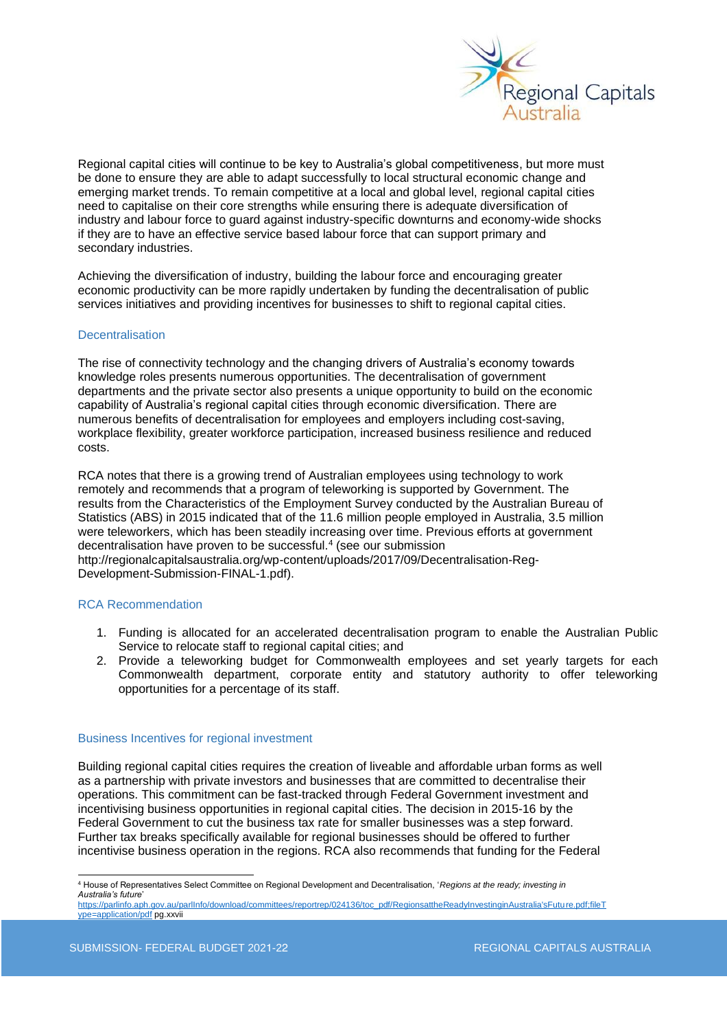

Regional capital cities will continue to be key to Australia's global competitiveness, but more must be done to ensure they are able to adapt successfully to local structural economic change and emerging market trends. To remain competitive at a local and global level, regional capital cities need to capitalise on their core strengths while ensuring there is adequate diversification of industry and labour force to guard against industry-specific downturns and economy-wide shocks if they are to have an effective service based labour force that can support primary and secondary industries.

Achieving the diversification of industry, building the labour force and encouraging greater economic productivity can be more rapidly undertaken by funding the decentralisation of public services initiatives and providing incentives for businesses to shift to regional capital cities.

#### **Decentralisation**

The rise of connectivity technology and the changing drivers of Australia's economy towards knowledge roles presents numerous opportunities. The decentralisation of government departments and the private sector also presents a unique opportunity to build on the economic capability of Australia's regional capital cities through economic diversification. There are numerous benefits of decentralisation for employees and employers including cost-saving, workplace flexibility, greater workforce participation, increased business resilience and reduced costs.

RCA notes that there is a growing trend of Australian employees using technology to work remotely and recommends that a program of teleworking is supported by Government. The results from the Characteristics of the Employment Survey conducted by the Australian Bureau of Statistics (ABS) in 2015 indicated that of the 11.6 million people employed in Australia, 3.5 million were teleworkers, which has been steadily increasing over time. Previous efforts at government decentralisation have proven to be successful.<sup>4</sup> (see our submission http://regionalcapitalsaustralia.org/wp-content/uploads/2017/09/Decentralisation-Reg-Development-Submission-FINAL-1.pdf).

#### RCA Recommendation

- 1. Funding is allocated for an accelerated decentralisation program to enable the Australian Public Service to relocate staff to regional capital cities; and
- 2. Provide a teleworking budget for Commonwealth employees and set yearly targets for each Commonwealth department, corporate entity and statutory authority to offer teleworking opportunities for a percentage of its staff.

#### Business Incentives for regional investment

Building regional capital cities requires the creation of liveable and affordable urban forms as well as a partnership with private investors and businesses that are committed to decentralise their operations. This commitment can be fast-tracked through Federal Government investment and incentivising business opportunities in regional capital cities. The decision in 2015-16 by the Federal Government to cut the business tax rate for smaller businesses was a step forward. Further tax breaks specifically available for regional businesses should be offered to further incentivise business operation in the regions. RCA also recommends that funding for the Federal

<sup>4</sup> House of Representatives Select Committee on Regional Development and Decentralisation, '*Regions at the ready; investing in Australia's future*'

[https://parlinfo.aph.gov.au/parlInfo/download/committees/reportrep/024136/toc\\_pdf/RegionsattheReadyInvestinginAustralia'sFuture.pdf;fileT](https://parlinfo.aph.gov.au/parlInfo/download/committees/reportrep/024136/toc_pdf/RegionsattheReadyInvestinginAustralia) [ype=application/pdf](https://parlinfo.aph.gov.au/parlInfo/download/committees/reportrep/024136/toc_pdf/RegionsattheReadyInvestinginAustralia) pg.xxvii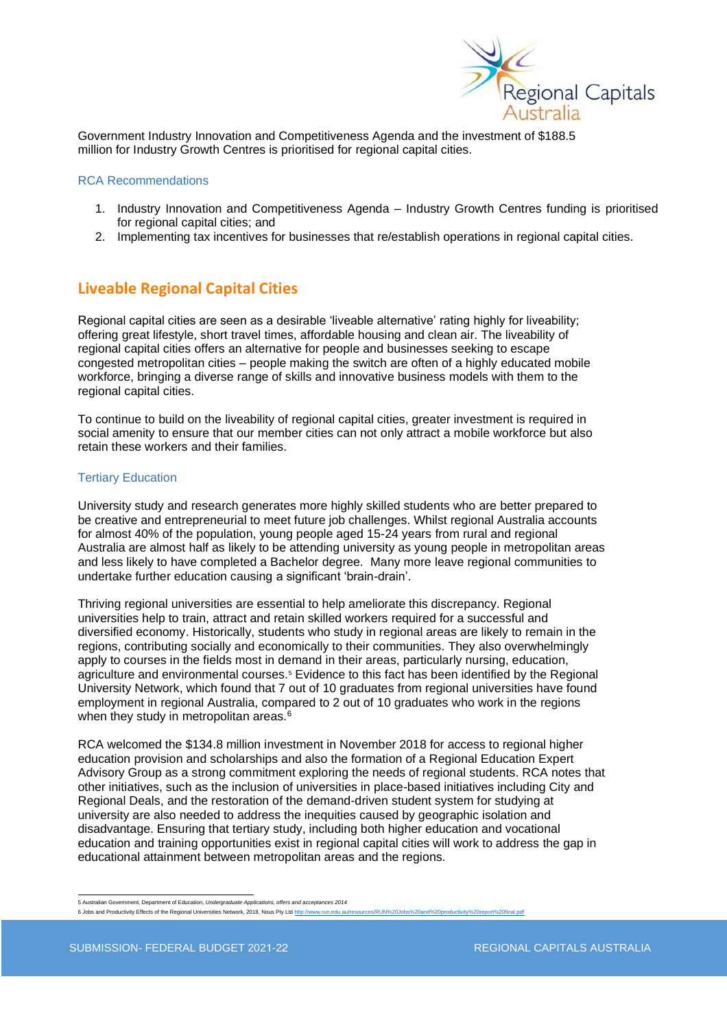

Government Industry Innovation and Competitiveness Agenda and the investment of \$188.5 million for Industry Growth Centres is prioritised for regional capital cities.

#### RCA Recommendations

- 1. Industry Innovation and Competitiveness Agenda Industry Growth Centres funding is prioritised for regional capital cities; and
- 2. Implementing tax incentives for businesses that re/establish operations in regional capital cities.

## **Liveable Regional Capital Cities**

Regional capital cities are seen as a desirable 'liveable alternative' rating highly for liveability; offering great lifestyle, short travel times, affordable housing and clean air. The liveability of regional capital cities offers an alternative for people and businesses seeking to escape congested metropolitan cities – people making the switch are often of a highly educated mobile workforce, bringing a diverse range of skills and innovative business models with them to the regional capital cities.

To continue to build on the liveability of regional capital cities, greater investment is required in social amenity to ensure that our member cities can not only attract a mobile workforce but also retain these workers and their families.

#### Tertiary Education

University study and research generates more highly skilled students who are better prepared to be creative and entrepreneurial to meet future job challenges. Whilst regional Australia accounts for almost 40% of the population, young people aged 15-24 years from rural and regional Australia are almost half as likely to be attending university as young people in metropolitan areas and less likely to have completed a Bachelor degree. Many more leave regional communities to undertake further education causing a significant 'brain-drain'.

Thriving regional universities are essential to help ameliorate this discrepancy. Regional universities help to train, attract and retain skilled workers required for a successful and diversified economy. Historically, students who study in regional areas are likely to remain in the regions, contributing socially and economically to their communities. They also overwhelmingly apply to courses in the fields most in demand in their areas, particularly nursing, education, agriculture and environmental courses.<sup>5</sup> Evidence to this fact has been identified by the Regional University Network, which found that 7 out of 10 graduates from regional universities have found employment in regional Australia, compared to 2 out of 10 graduates who work in the regions when they study in metropolitan areas. $6$ 

RCA welcomed the \$134.8 million investment in November 2018 for access to regional higher education provision and scholarships and also the formation of a Regional Education Expert Advisory Group as a strong commitment exploring the needs of regional students. RCA notes that other initiatives, such as the inclusion of universities in place-based initiatives including City and Regional Deals, and the restoration of the demand-driven student system for studying at university are also needed to address the inequities caused by geographic isolation and disadvantage. Ensuring that tertiary study, including both higher education and vocational education and training opportunities exist in regional capital cities will work to address the gap in educational attainment between metropolitan areas and the regions.

<sup>5</sup> Australian Government, Department of Education, *Undergraduate Applications, offers and acceptances 2014*

<sup>6</sup> Jobs and Productivity Effects of the Regional Universities Network, 2018, Nous Pty Ltd http://www.run.edu.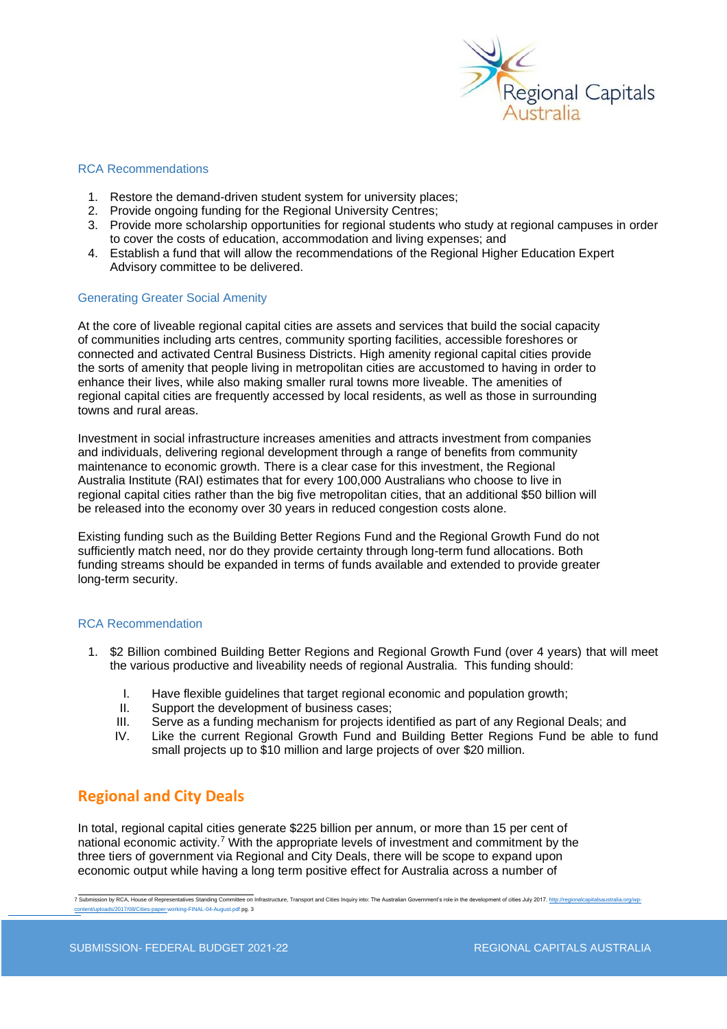

### RCA Recommendations

- 1. Restore the demand-driven student system for university places;
- 2. Provide ongoing funding for the Regional University Centres;
- 3. Provide more scholarship opportunities for regional students who study at regional campuses in order to cover the costs of education, accommodation and living expenses; and
- 4. Establish a fund that will allow the recommendations of the Regional Higher Education Expert Advisory committee to be delivered.

#### Generating Greater Social Amenity

At the core of liveable regional capital cities are assets and services that build the social capacity of communities including arts centres, community sporting facilities, accessible foreshores or connected and activated Central Business Districts. High amenity regional capital cities provide the sorts of amenity that people living in metropolitan cities are accustomed to having in order to enhance their lives, while also making smaller rural towns more liveable. The amenities of regional capital cities are frequently accessed by local residents, as well as those in surrounding towns and rural areas.

Investment in social infrastructure increases amenities and attracts investment from companies and individuals, delivering regional development through a range of benefits from community maintenance to economic growth. There is a clear case for this investment, the Regional Australia Institute (RAI) estimates that for every 100,000 Australians who choose to live in regional capital cities rather than the big five metropolitan cities, that an additional \$50 billion will be released into the economy over 30 years in reduced congestion costs alone.

Existing funding such as the Building Better Regions Fund and the Regional Growth Fund do not sufficiently match need, nor do they provide certainty through long-term fund allocations. Both funding streams should be expanded in terms of funds available and extended to provide greater long-term security.

#### RCA Recommendation

- 1. \$2 Billion combined Building Better Regions and Regional Growth Fund (over 4 years) that will meet the various productive and liveability needs of regional Australia. This funding should:
	- I. Have flexible guidelines that target regional economic and population growth;
	- II. Support the development of business cases;
	- III. Serve as a funding mechanism for projects identified as part of any Regional Deals; and
	- IV. Like the current Regional Growth Fund and Building Better Regions Fund be able to fund small projects up to \$10 million and large projects of over \$20 million.

## **Regional and City Deals**

In total, regional capital cities generate \$225 billion per annum, or more than 15 per cent of national economic activity.<sup>7</sup> With the appropriate levels of investment and commitment by the three tiers of government via Regional and City Deals, there will be scope to expand upon economic output while having a long term positive effect for Australia across a number of

7 Submission by RCA, House of Representatives Standing Committee on Infrastructure, Transport and Cities Inquiry into: The Australian Government's role in the development of cities July 2017. http://regionalcapitals. ies-paper-working-FINAL-04-August.pdf pg. 3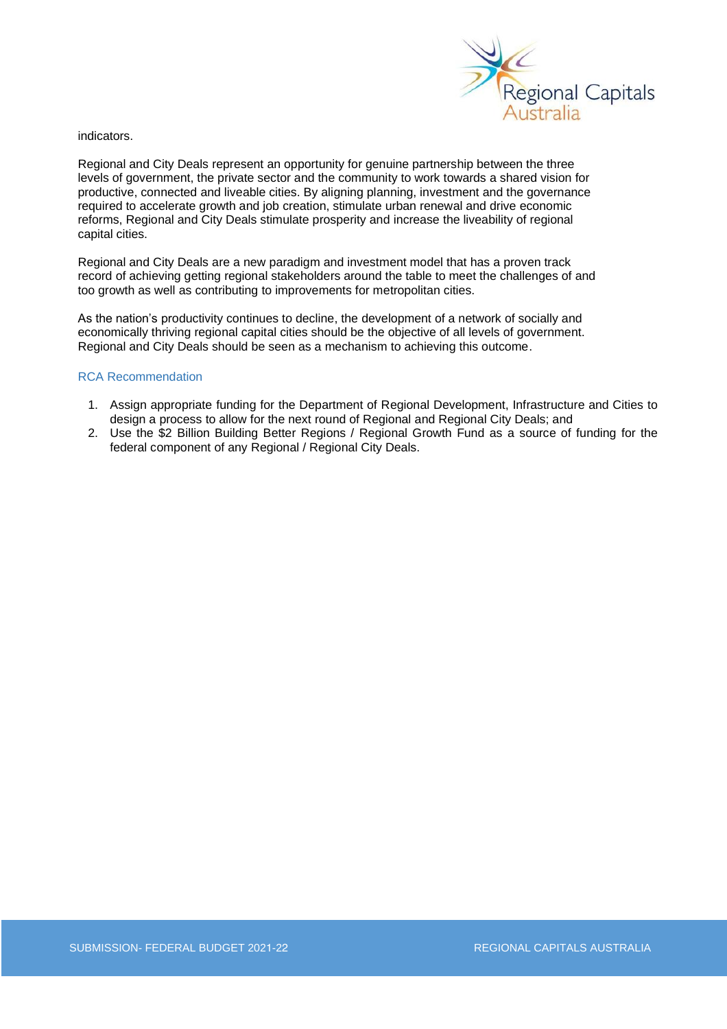

indicators.

Regional and City Deals represent an opportunity for genuine partnership between the three levels of government, the private sector and the community to work towards a shared vision for productive, connected and liveable cities. By aligning planning, investment and the governance required to accelerate growth and job creation, stimulate urban renewal and drive economic reforms, Regional and City Deals stimulate prosperity and increase the liveability of regional capital cities.

Regional and City Deals are a new paradigm and investment model that has a proven track record of achieving getting regional stakeholders around the table to meet the challenges of and too growth as well as contributing to improvements for metropolitan cities.

As the nation's productivity continues to decline, the development of a network of socially and economically thriving regional capital cities should be the objective of all levels of government. Regional and City Deals should be seen as a mechanism to achieving this outcome.

### RCA Recommendation

- 1. Assign appropriate funding for the Department of Regional Development, Infrastructure and Cities to design a process to allow for the next round of Regional and Regional City Deals; and
- 2. Use the \$2 Billion Building Better Regions / Regional Growth Fund as a source of funding for the federal component of any Regional / Regional City Deals.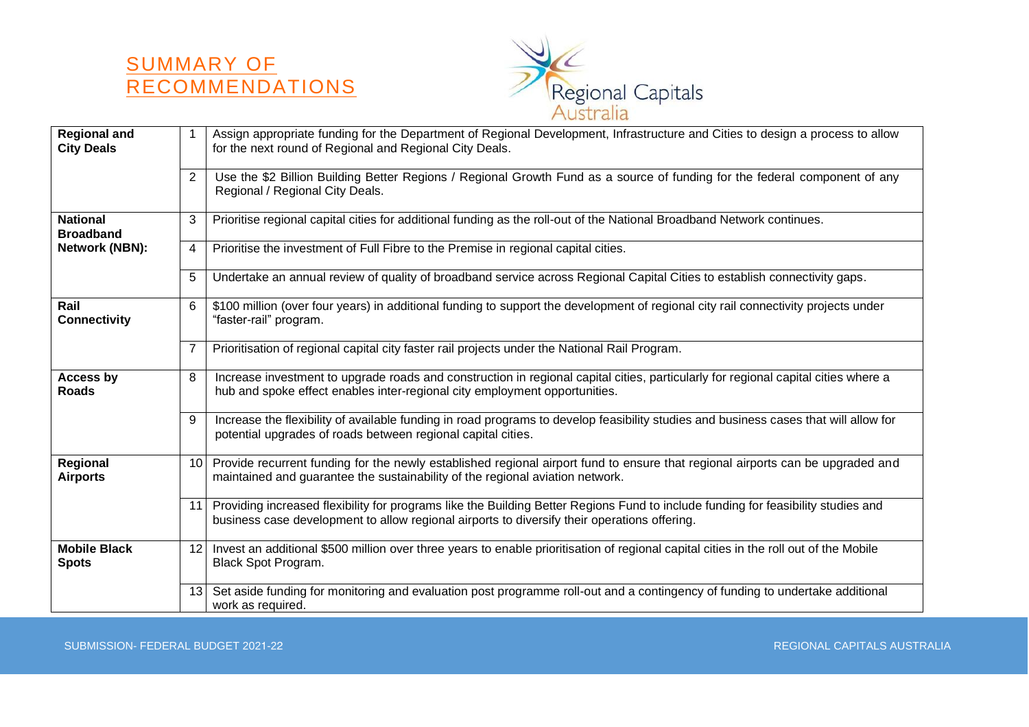



| <b>Regional and</b><br><b>City Deals</b> | 1              | Assign appropriate funding for the Department of Regional Development, Infrastructure and Cities to design a process to allow<br>for the next round of Regional and Regional City Deals.                                          |
|------------------------------------------|----------------|-----------------------------------------------------------------------------------------------------------------------------------------------------------------------------------------------------------------------------------|
|                                          | 2              | Use the \$2 Billion Building Better Regions / Regional Growth Fund as a source of funding for the federal component of any<br>Regional / Regional City Deals.                                                                     |
| <b>National</b><br><b>Broadband</b>      | 3              | Prioritise regional capital cities for additional funding as the roll-out of the National Broadband Network continues.                                                                                                            |
| Network (NBN):                           | 4              | Prioritise the investment of Full Fibre to the Premise in regional capital cities.                                                                                                                                                |
|                                          | 5              | Undertake an annual review of quality of broadband service across Regional Capital Cities to establish connectivity gaps.                                                                                                         |
| Rail<br><b>Connectivity</b>              | 6              | \$100 million (over four years) in additional funding to support the development of regional city rail connectivity projects under<br>"faster-rail" program.                                                                      |
|                                          | $\overline{7}$ | Prioritisation of regional capital city faster rail projects under the National Rail Program.                                                                                                                                     |
| <b>Access by</b><br><b>Roads</b>         | 8              | Increase investment to upgrade roads and construction in regional capital cities, particularly for regional capital cities where a<br>hub and spoke effect enables inter-regional city employment opportunities.                  |
|                                          | 9              | Increase the flexibility of available funding in road programs to develop feasibility studies and business cases that will allow for<br>potential upgrades of roads between regional capital cities.                              |
| Regional<br><b>Airports</b>              | 10             | Provide recurrent funding for the newly established regional airport fund to ensure that regional airports can be upgraded and<br>maintained and guarantee the sustainability of the regional aviation network.                   |
|                                          | 11             | Providing increased flexibility for programs like the Building Better Regions Fund to include funding for feasibility studies and<br>business case development to allow regional airports to diversify their operations offering. |
| <b>Mobile Black</b><br><b>Spots</b>      | 12             | Invest an additional \$500 million over three years to enable prioritisation of regional capital cities in the roll out of the Mobile<br>Black Spot Program.                                                                      |
|                                          | 13             | Set aside funding for monitoring and evaluation post programme roll-out and a contingency of funding to undertake additional<br>work as required.                                                                                 |